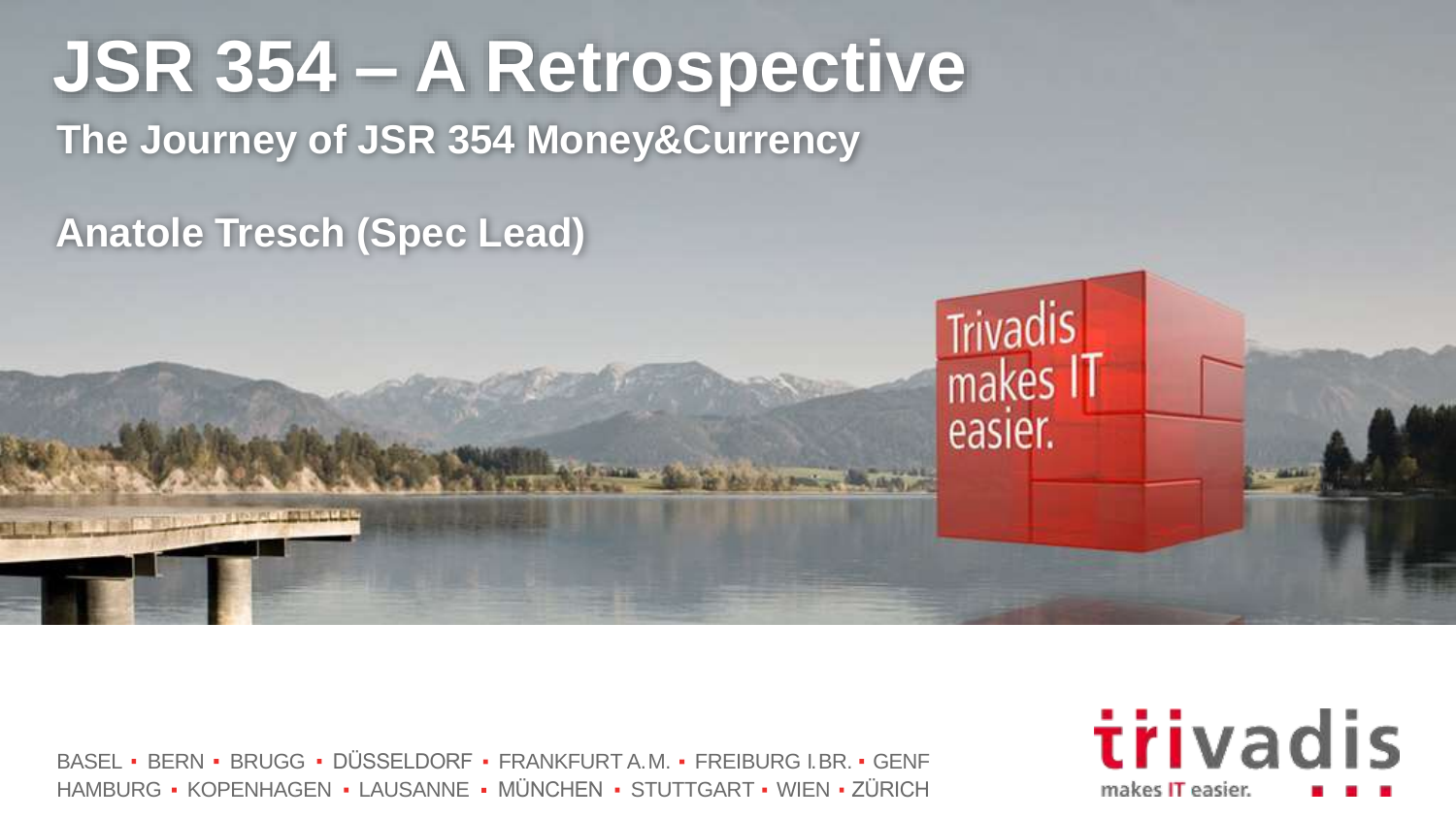# **JSR 354 – A Retrospective The Journey of JSR 354 Money&Currency**

**Anatole Tresch (Spec Lead)**

**Profit form has to all** 

BASEL • BERN • BRUGG • DÜSSELDORF • FRANKFURT A.M. • FREIBURG I.BR. • GENF HAMBURG • KOPENHAGEN • LAUSANNE • MÜNCHEN • STUTTGART • WIEN • ZÜRICH



Trivadis<br>makes IT

easier.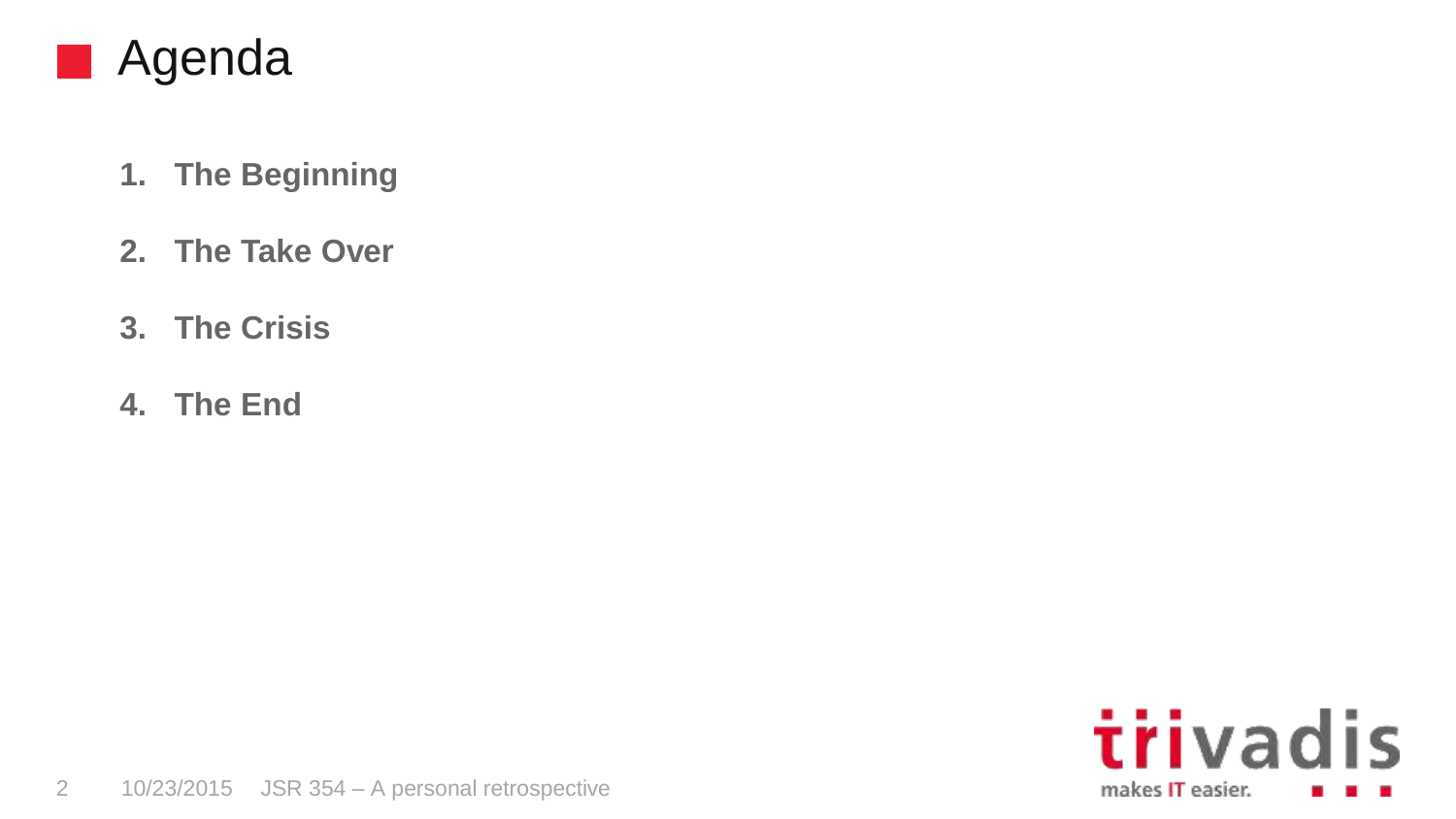

- **1. The Beginning**
- **2. The Take Over**
- **3. The Crisis**
- **4. The End**

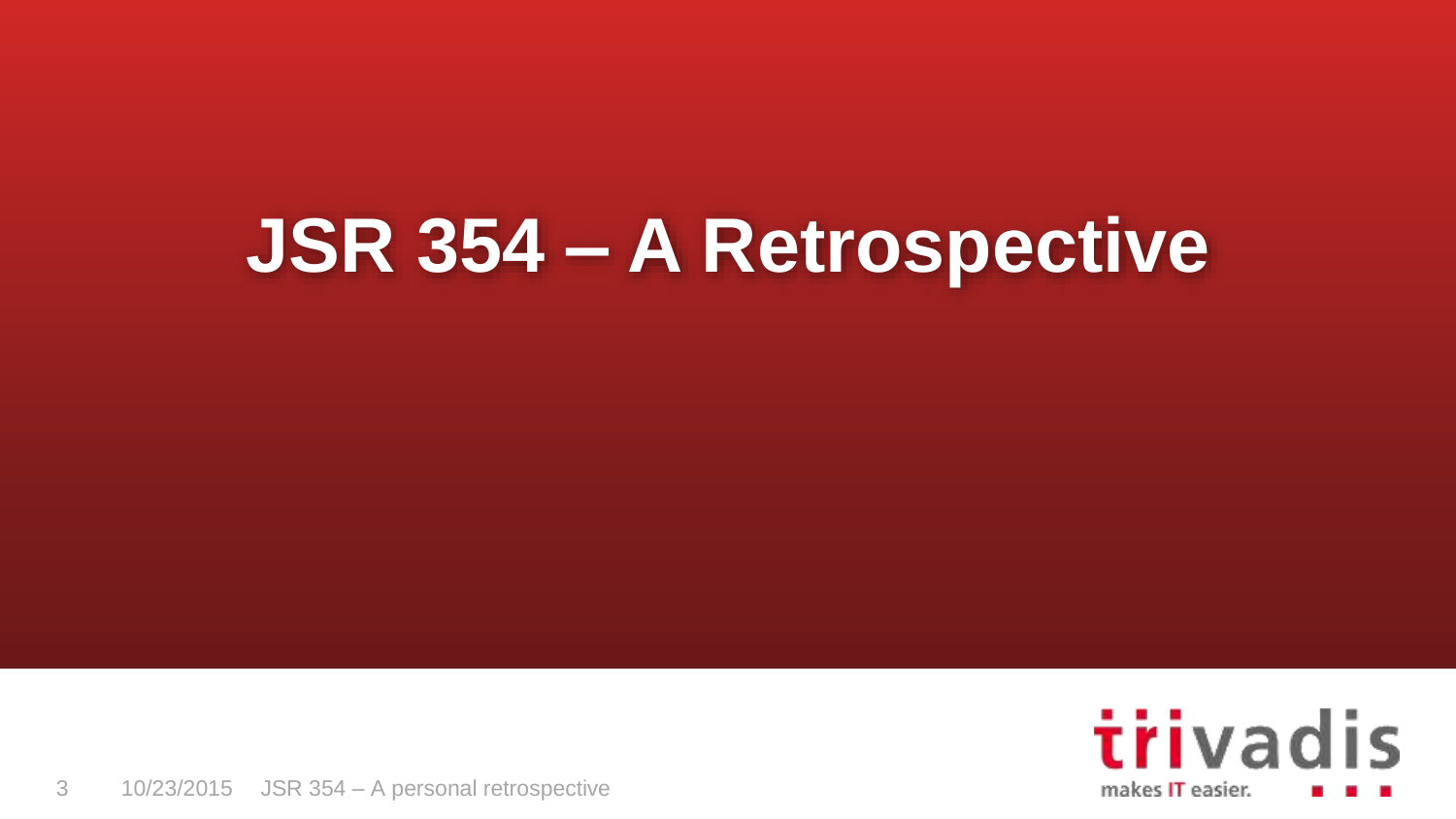# **JSR 354 – A Retrospective**

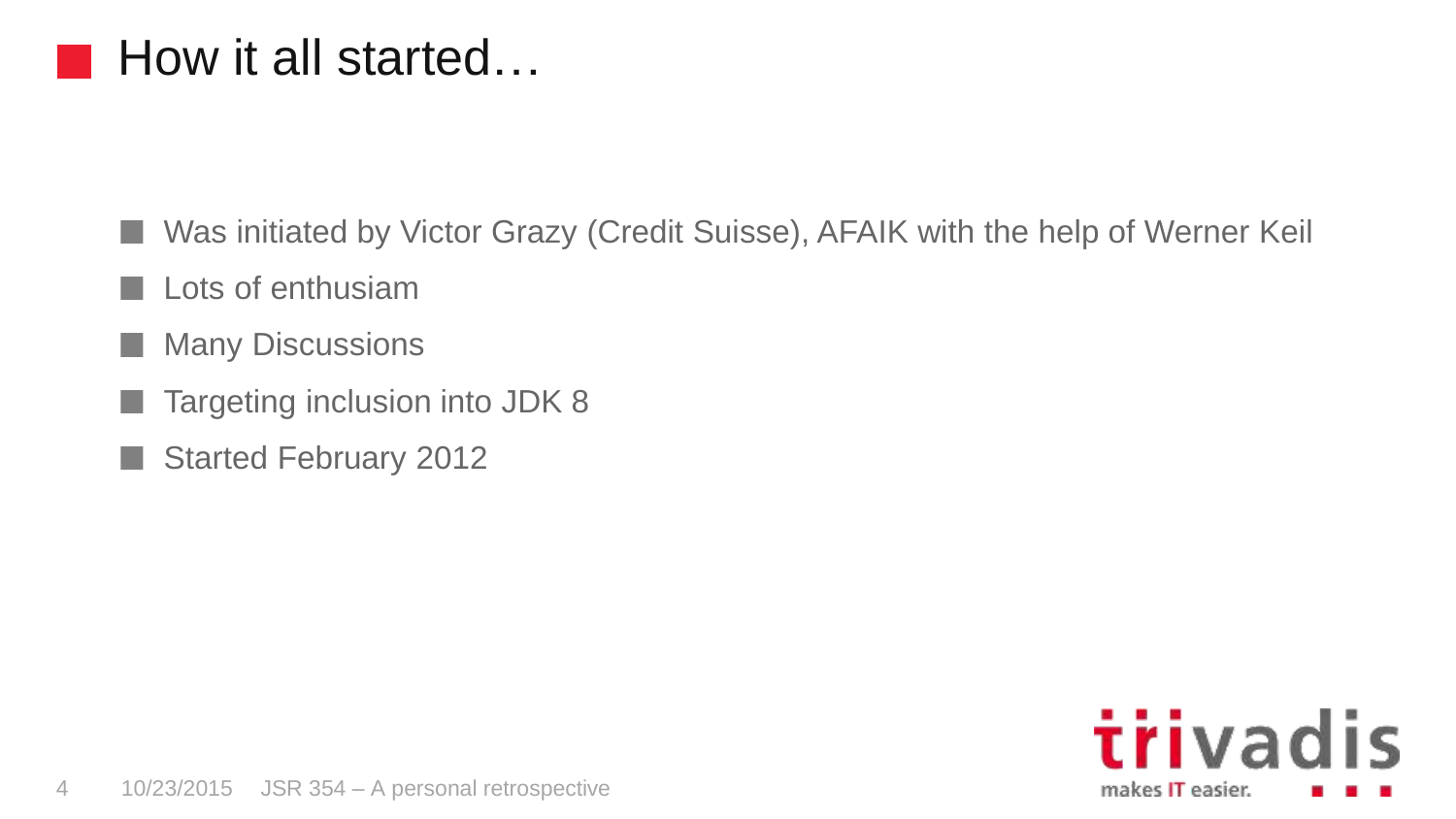### How it all started…

Was initiated by Victor Grazy (Credit Suisse), AFAIK with the help of Werner Keil n a

- Lots of enthusiam
- Many Discussions n a
- Targeting inclusion into JDK 8
- Started February 2012H.

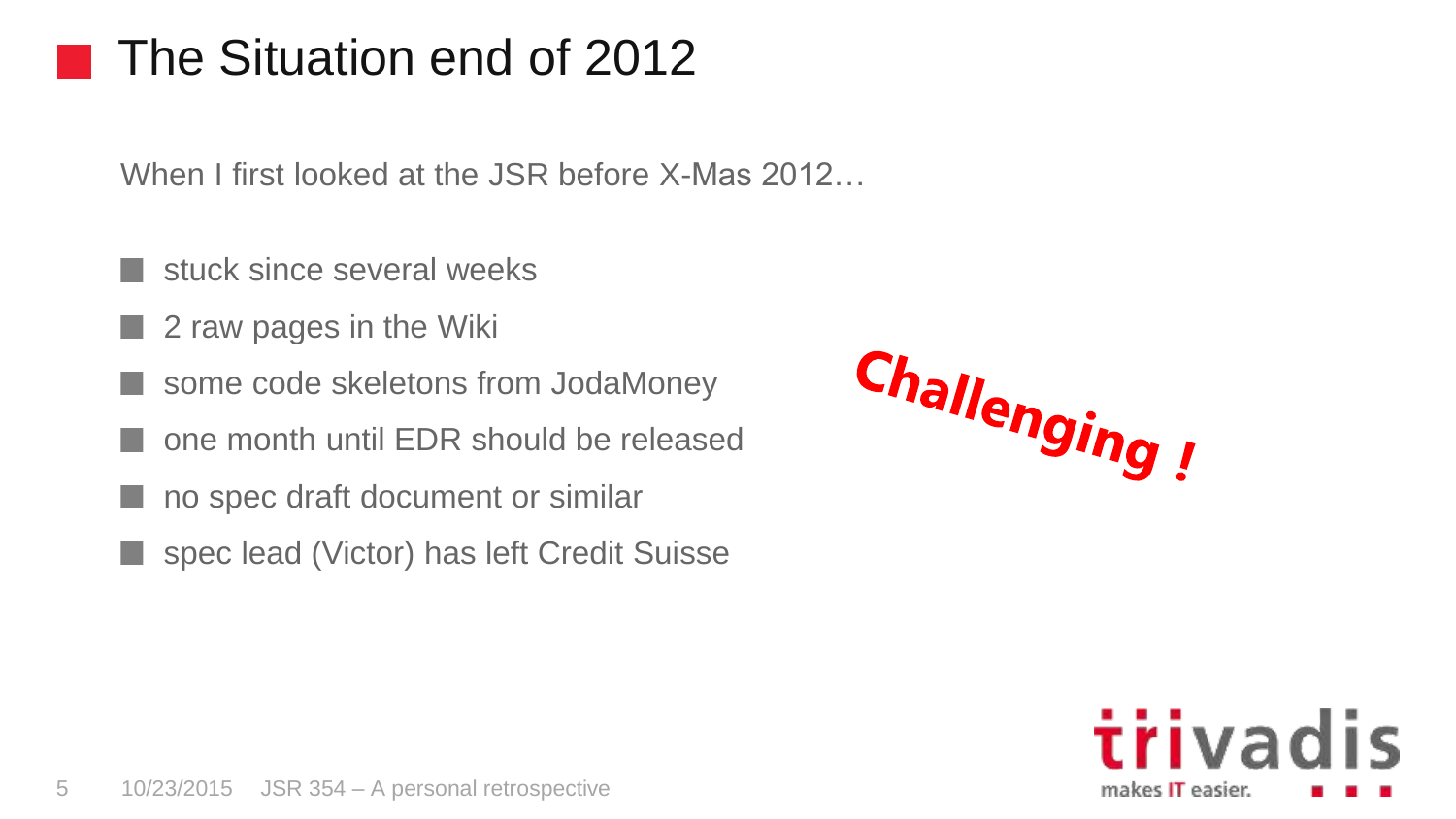# The Situation end of 2012

When I first looked at the JSR before X-Mas 2012…

- stuck since several weeks
- 2 raw pages in the Wiki
- some code skeletons from JodaMoney
- one month until EDR should be released
- no spec draft document or similar
- spec lead (Victor) has left Credit Suisse

Challenging!

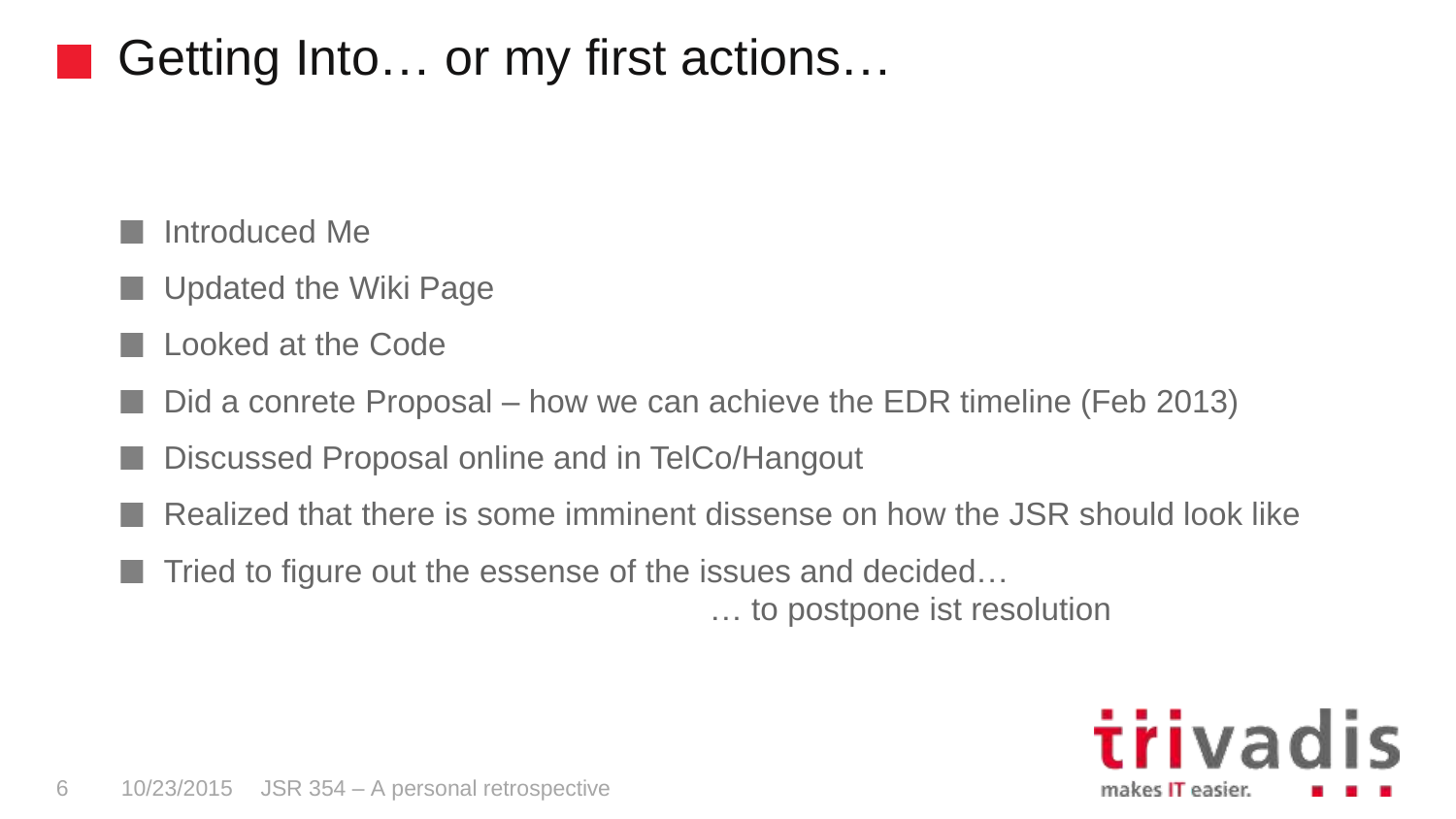# Getting Into… or my first actions…

#### Introduced Me

- Updated the Wiki Page
- Looked at the Code
- Did a conrete Proposal how we can achieve the EDR timeline (Feb 2013)
- Discussed Proposal online and in TelCo/Hangout
- Realized that there is some imminent dissense on how the JSR should look like
	- Tried to figure out the essense of the issues and decided…

… to postpone ist resolution

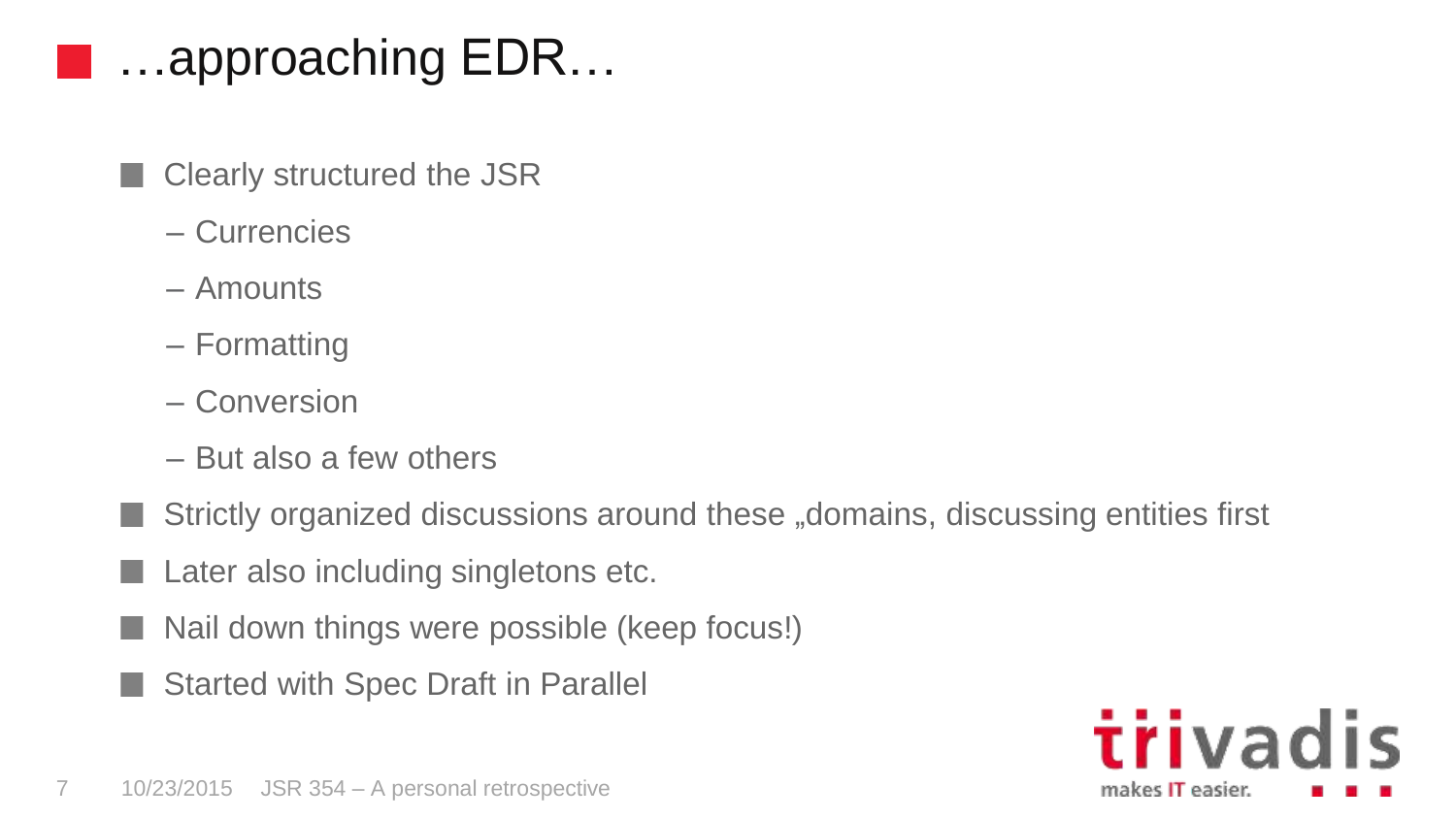# …approaching EDR…

- Clearly structured the JSR
- Currencies
- Amounts
- Formatting
- Conversion
- But also a few others
- Strictly organized discussions around these "domains, discussing entities first
- Later also including singletons etc.
- Nail down things were possible (keep focus!)
- Started with Spec Draft in Parallel

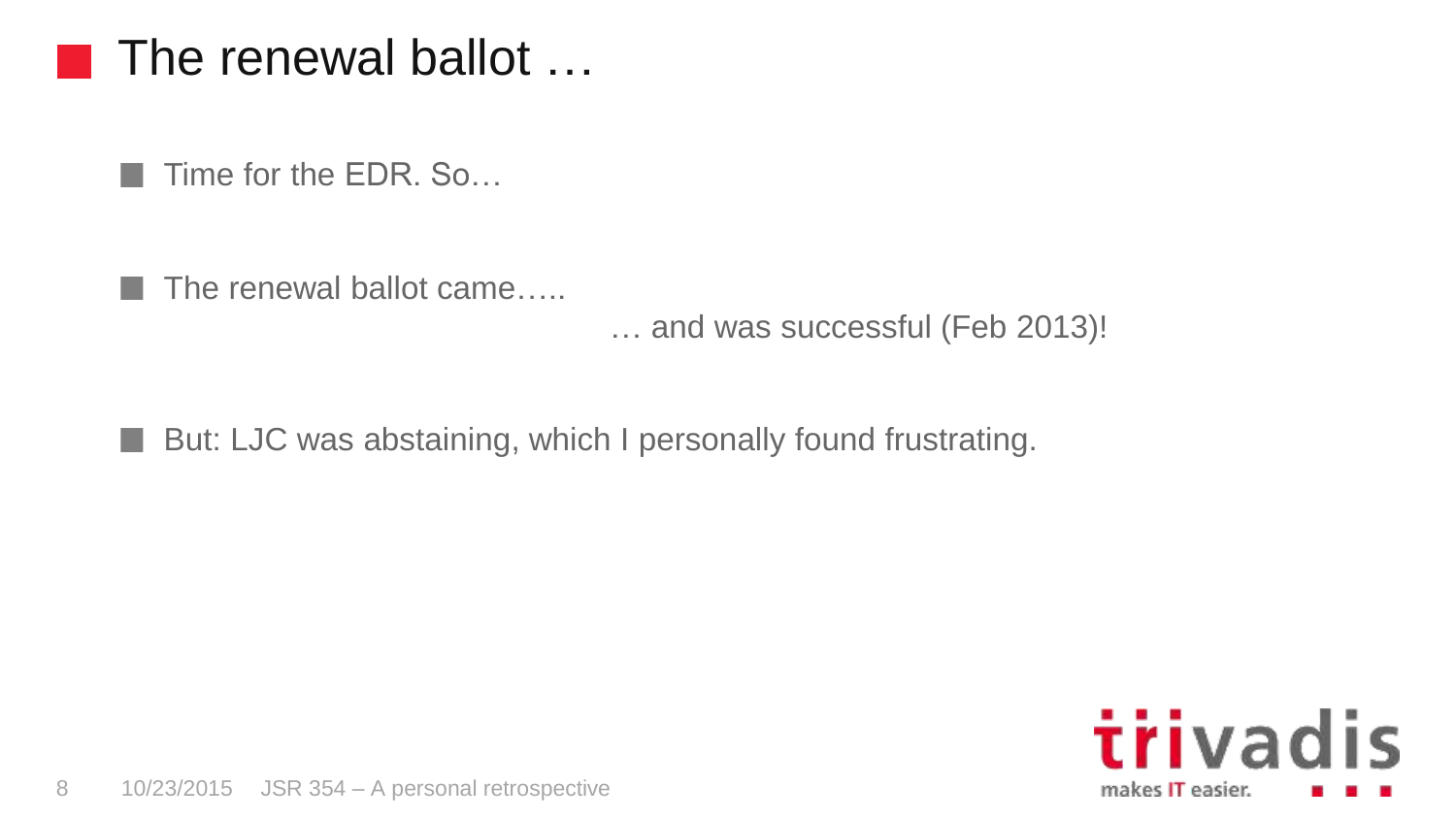#### The renewal ballot …

 $\blacksquare$  Time for the EDR. So...

a sa

The renewal ballot came…..

… and was successful (Feb 2013)!

■ But: LJC was abstaining, which I personally found frustrating.

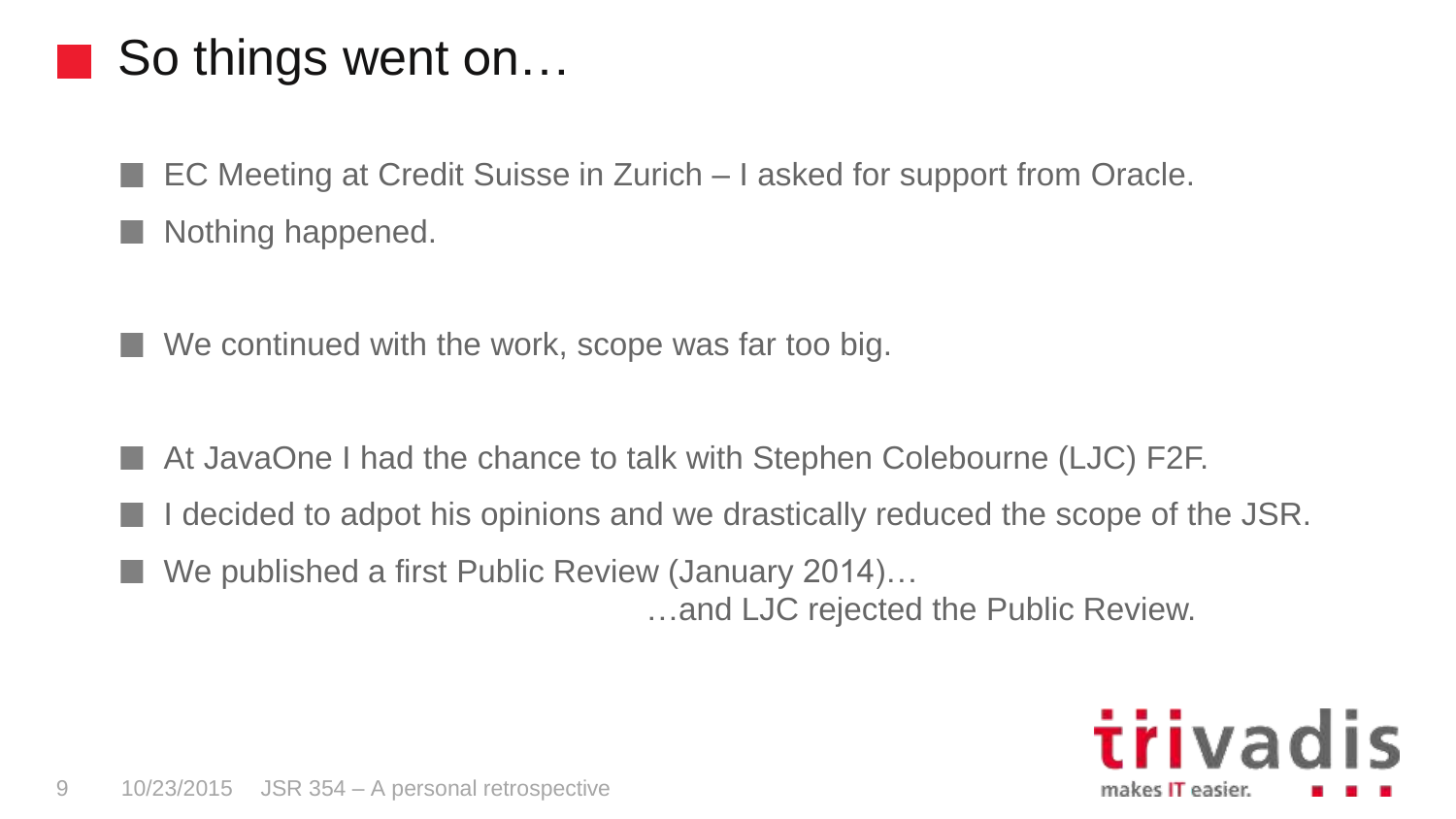# So things went on…

EC Meeting at Credit Suisse in Zurich – I asked for support from Oracle.

Nothing happened.

We continued with the work, scope was far too big.

- At JavaOne I had the chance to talk with Stephen Colebourne (LJC) F2F.
- decided to adpot his opinions and we drastically reduced the scope of the JSR.
- We published a first Public Review (January 2014)…

…and LJC rejected the Public Review.

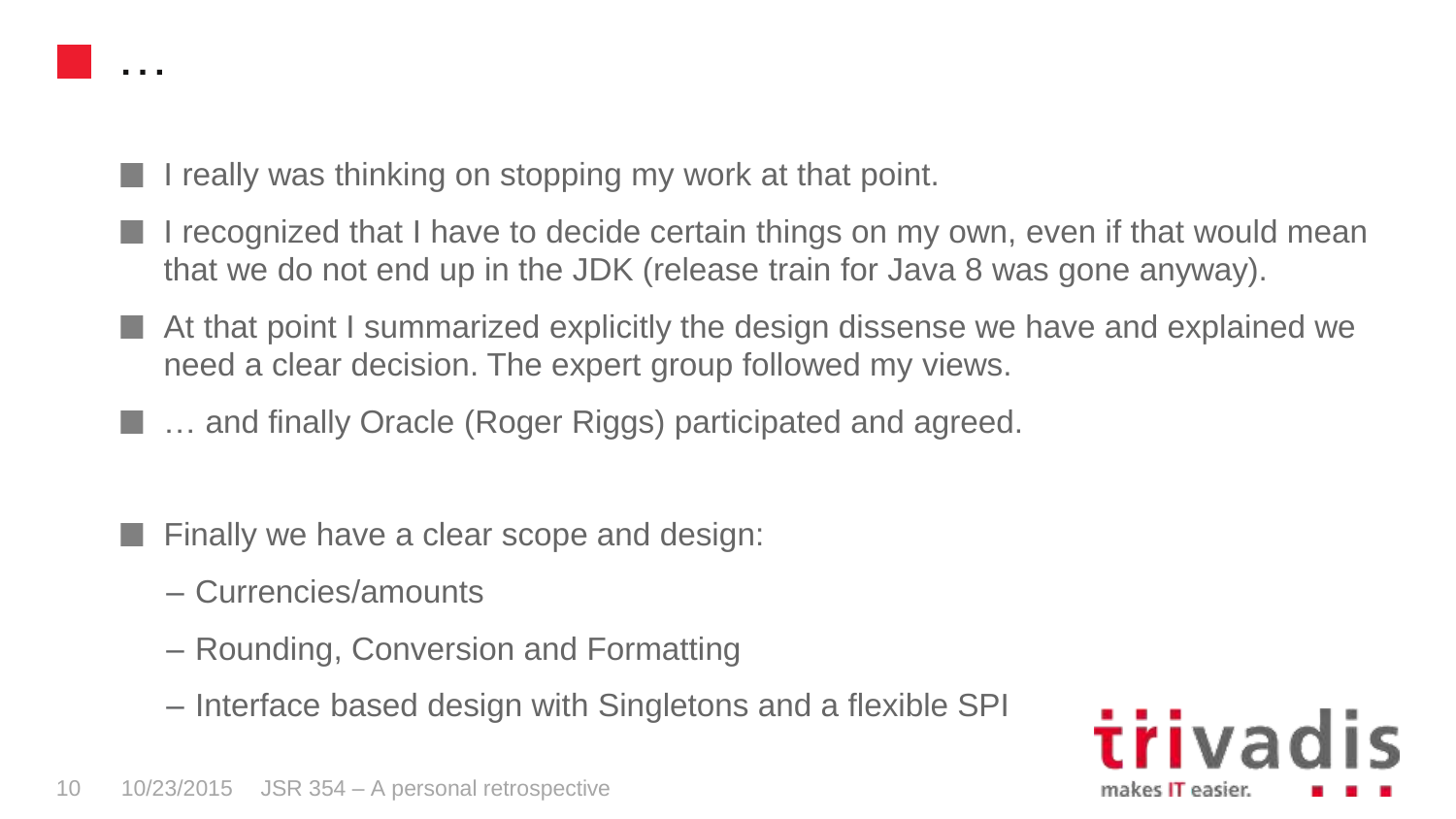

- I really was thinking on stopping my work at that point.
- I recognized that I have to decide certain things on my own, even if that would mean that we do not end up in the JDK (release train for Java 8 was gone anyway).
- At that point I summarized explicitly the design dissense we have and explained we need a clear decision. The expert group followed my views.
- **E.** ... and finally Oracle (Roger Riggs) participated and agreed.
	- Finally we have a clear scope and design:
		- Currencies/amounts
		- Rounding, Conversion and Formatting
		- Interface based design with Singletons and a flexible SPI

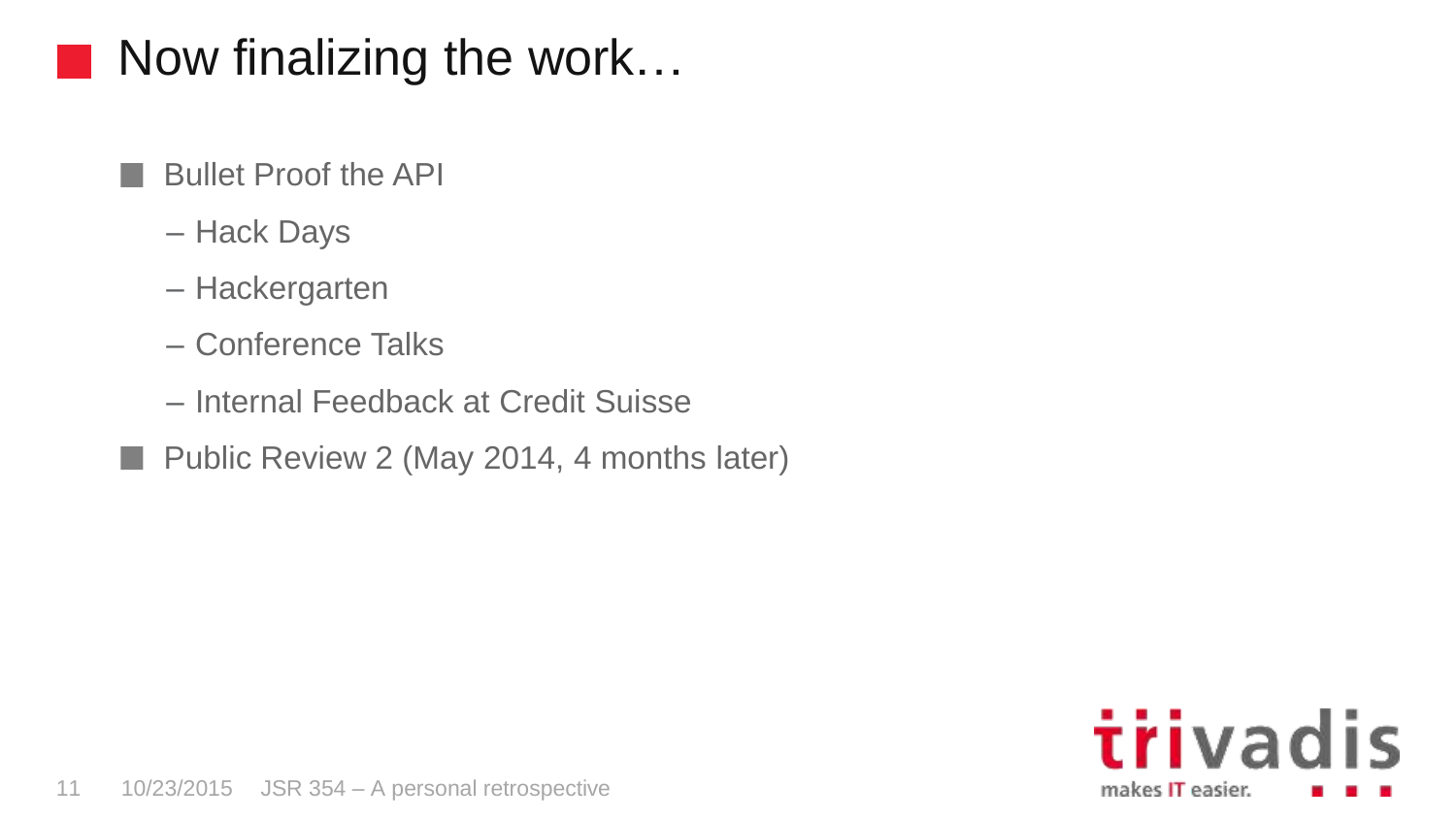# Now finalizing the work…

- Bullet Proof the API
- Hack Days

ИX.

- Hackergarten
- Conference Talks
- Internal Feedback at Credit Suisse
- Public Review 2 (May 2014, 4 months later)

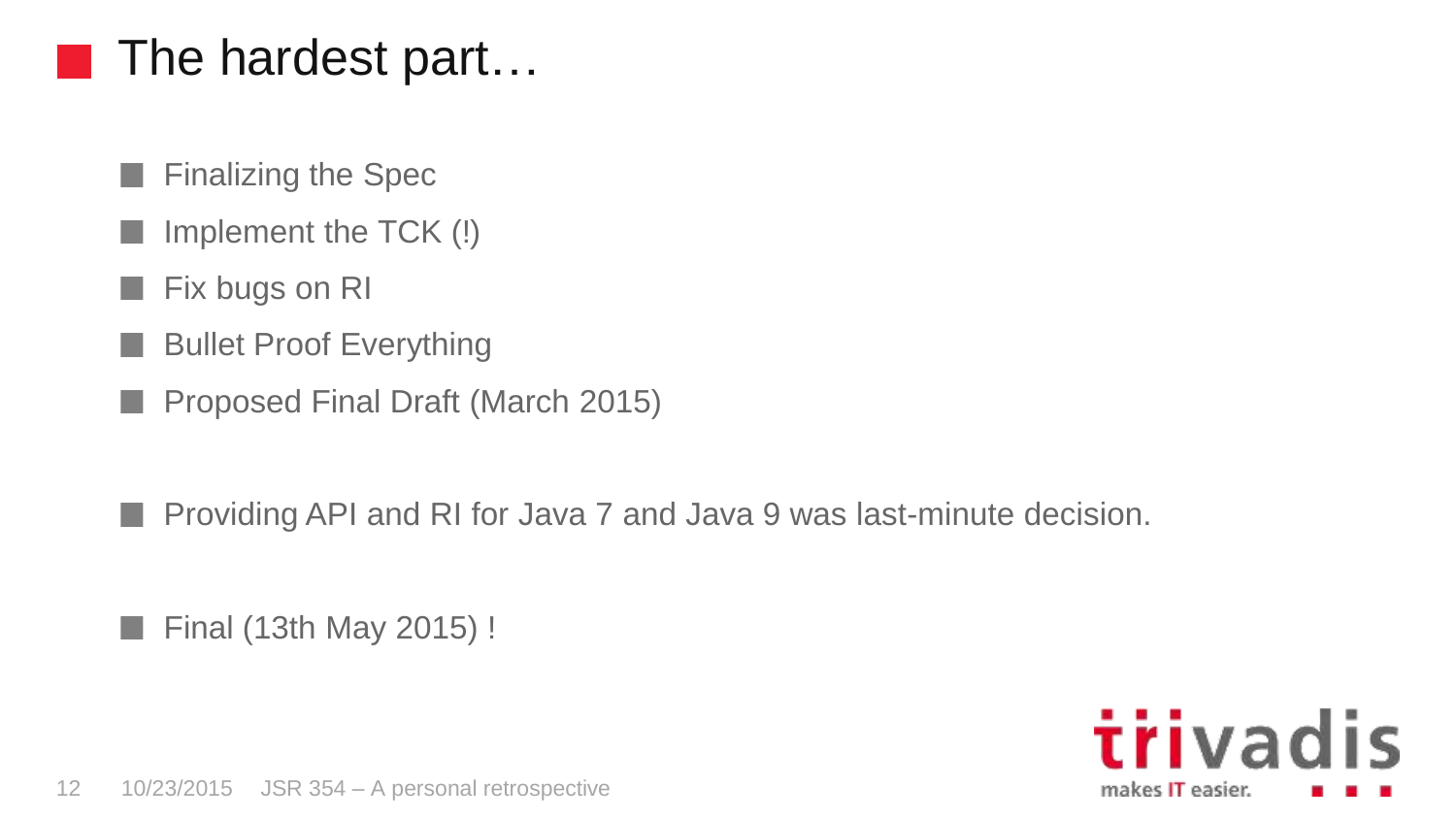# The hardest part…

- $\blacksquare$  Finalizing the Spec
- Implement the TCK (!)
- Fix bugs on RI
- Bullet Proof Everything n a
- Proposed Final Draft (March 2015)

Providing API and RI for Java 7 and Java 9 was last-minute decision. n a

**Final (13th May 2015)**!

trivadis makes IT easier.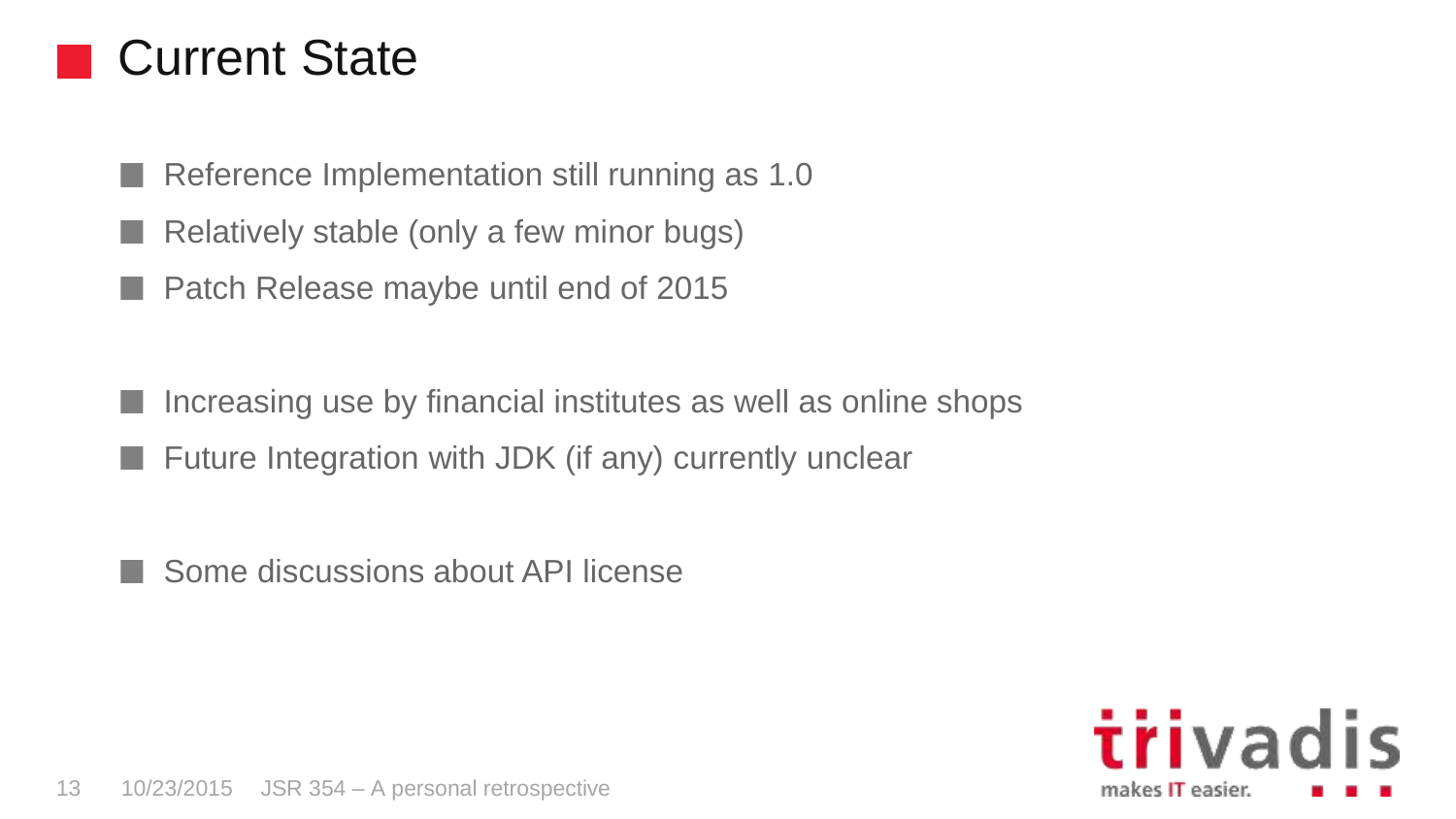#### Current State

Reference Implementation still running as 1.0 n a

Relatively stable (only a few minor bugs)

Patch Release maybe until end of 2015

Increasing use by financial institutes as well as online shops Future Integration with JDK (if any) currently unclear

Some discussions about API license

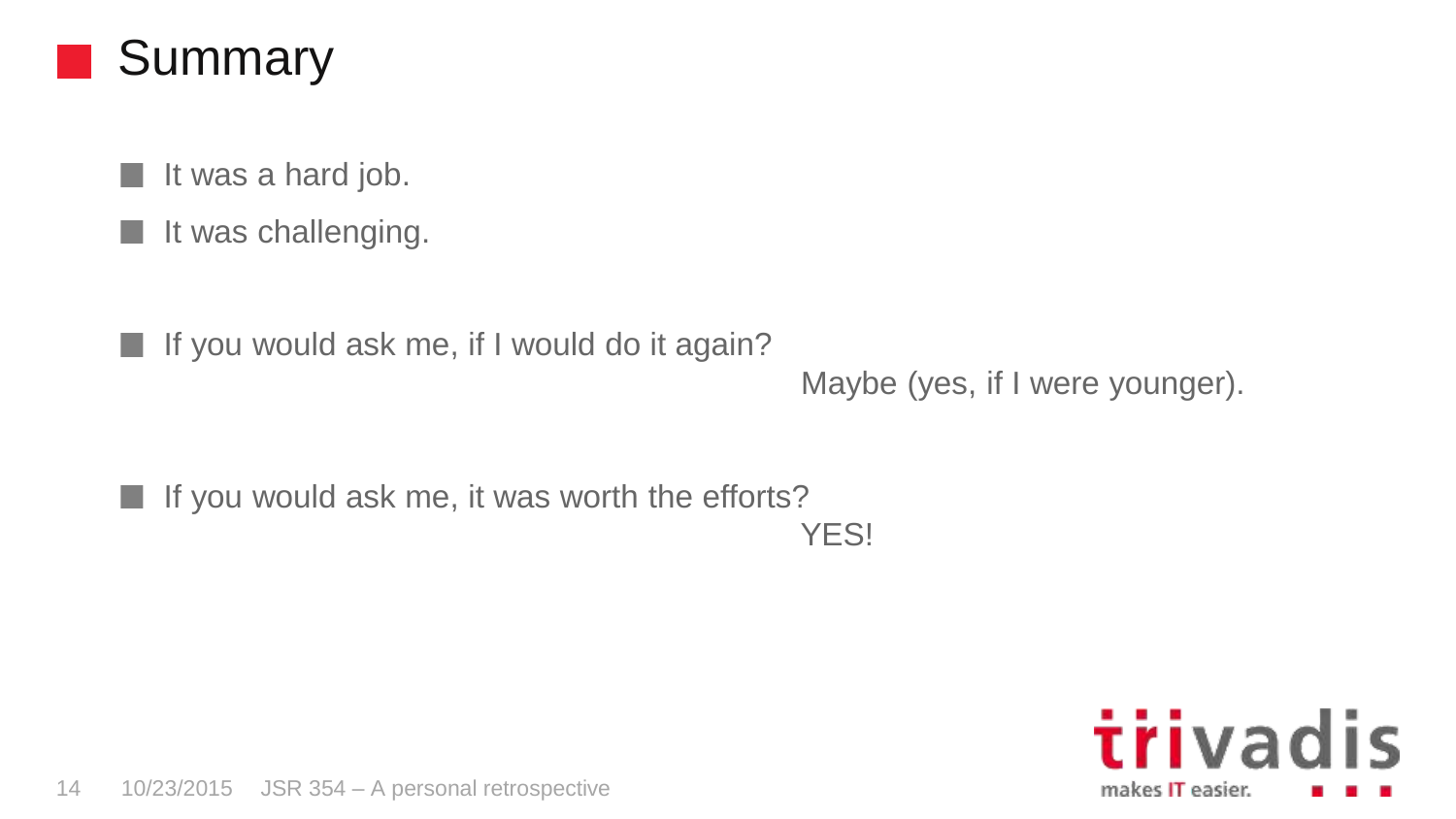

- $\blacksquare$  It was a hard job.
- It was challenging. n.
- $\blacksquare$  If you would ask me, if I would do it again?

```
Maybe (yes, if I were younger).
```
 $\blacksquare$  If you would ask me, it was worth the efforts? YES!

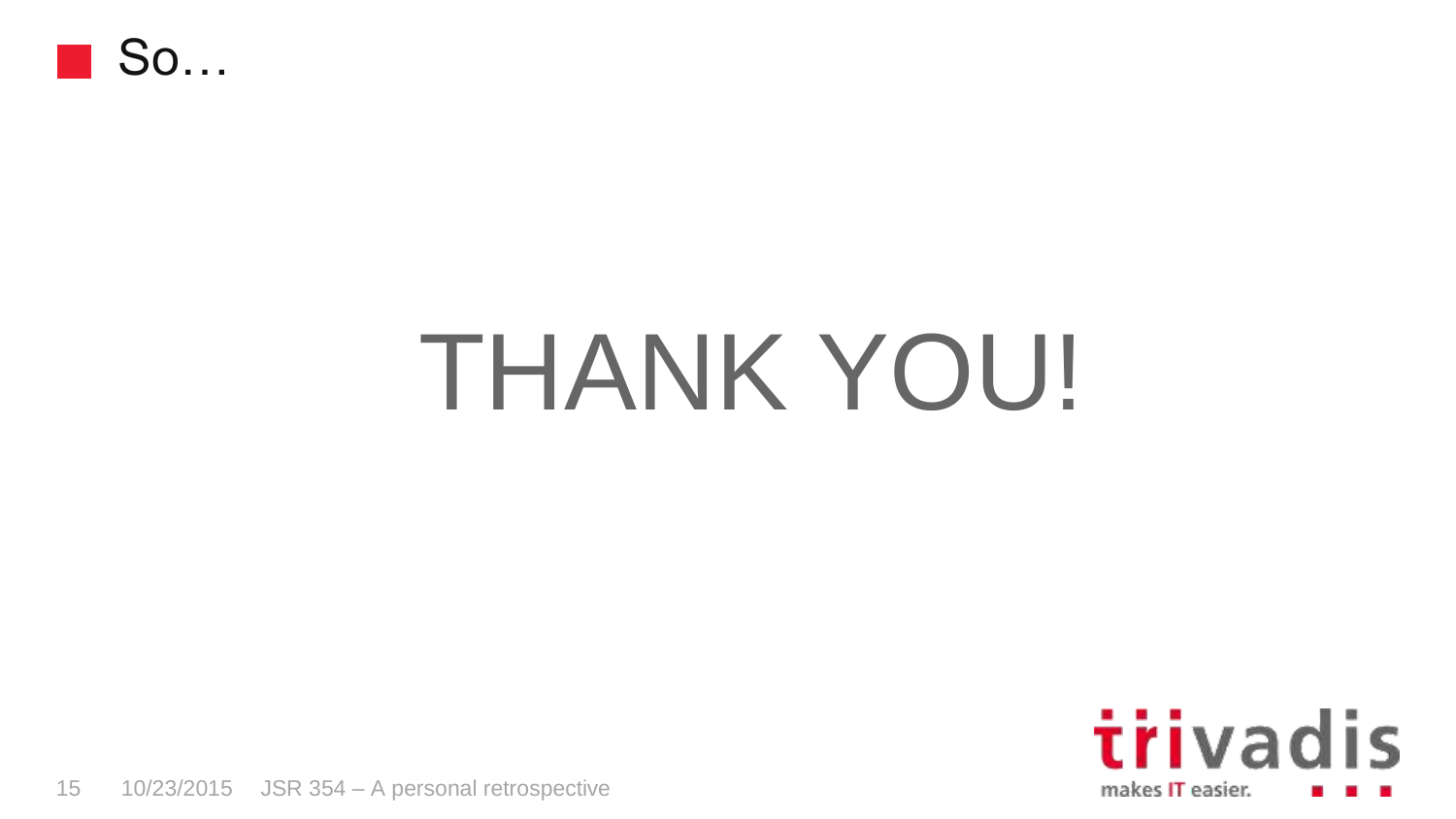

# THANK YOU!

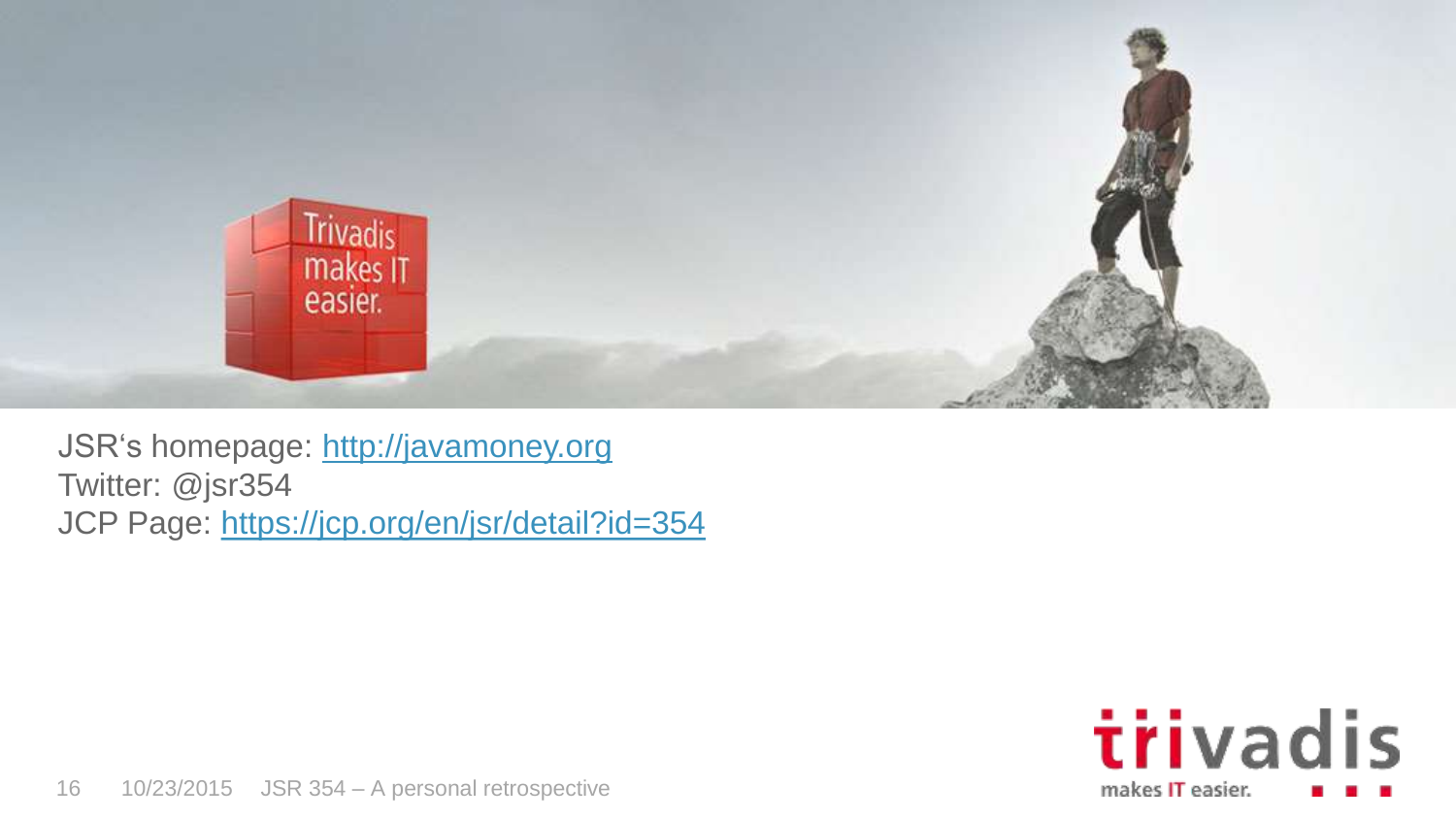

JSR's homepage: [http://javamoney.org](http://javamoney.org/) Twitter: @jsr354 JCP Page:<https://jcp.org/en/jsr/detail?id=354>